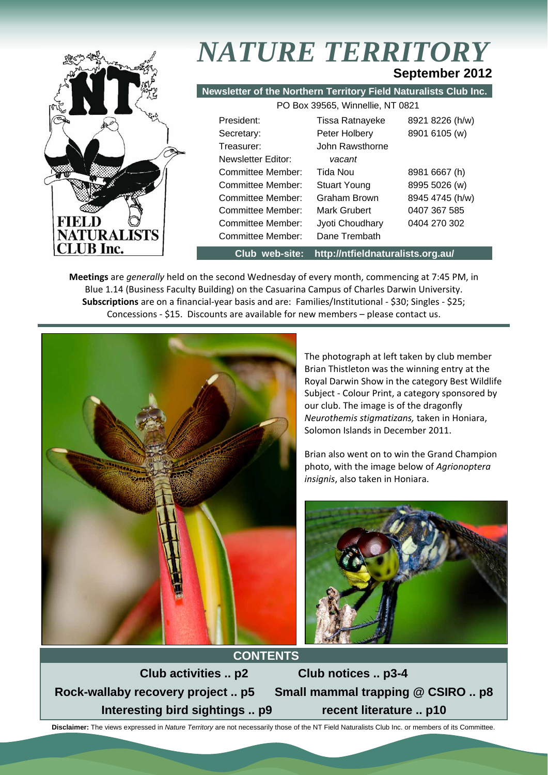

# *NATURE TERRITORY* **September 2012**

**Newsletter of the Northern Territory Field Naturalists Club Inc.** PO Box 39565, Winnellie, NT 0821

| <u>L O DUA OUUUU, WIIIIIUIIIU, INT UUZ I</u> |                        |                 |  |  |
|----------------------------------------------|------------------------|-----------------|--|--|
| President:                                   | <b>Tissa Ratnayeke</b> | 8921 8226 (h/w) |  |  |
| Secretary:                                   | Peter Holbery          | 8901 6105 (w)   |  |  |
| Treasurer:                                   | John Rawsthorne        |                 |  |  |
| Newsletter Editor:                           | vacant                 |                 |  |  |
| Committee Member:                            | Tida Nou               | 8981 6667 (h)   |  |  |
| Committee Member:                            | <b>Stuart Young</b>    | 8995 5026 (w)   |  |  |
| Committee Member:                            | Graham Brown           | 8945 4745 (h/w) |  |  |
| Committee Member:                            | Mark Grubert           | 0407 367 585    |  |  |
| Committee Member:                            | Jyoti Choudhary        | 0404 270 302    |  |  |
| <b>Committee Member:</b>                     | Dane Trembath          |                 |  |  |
|                                              |                        |                 |  |  |

**Club web-site: http://ntfieldnaturalists.org.au/** 

**Meetings** are *generally* held on the second Wednesday of every month, commencing at 7:45 PM, in Blue 1.14 (Business Faculty Building) on the Casuarina Campus of Charles Darwin University. **Subscriptions** are on a financial‐year basis and are: Families/Institutional ‐ \$30; Singles ‐ \$25; Concessions ‐ \$15. Discounts are available for new members – please contact us.



The photograph at left taken by club member Brian Thistleton was the winning entry at the Royal Darwin Show in the category Best Wildlife Subject ‐ Colour Print, a category sponsored by our club. The image is of the dragonfly *Neurothemis stigmatizans,* taken in Honiara, Solomon Islands in December 2011.

Brian also went on to win the Grand Champion photo, with the image below of *Agrionoptera insignis*, also taken in Honiara.



**CONTENTS Club activities .. p2 Club notices .. p3-4 Rock-wallaby recovery project .. p5 Small mammal trapping @ CSIRO .. p8**  Interesting bird sightings .. p9 recent literature .. p10

 **Disclaimer:** The views expressed in *Nature Territory* are not necessarily those of the NT Field Naturalists Club Inc. or members of its Committee.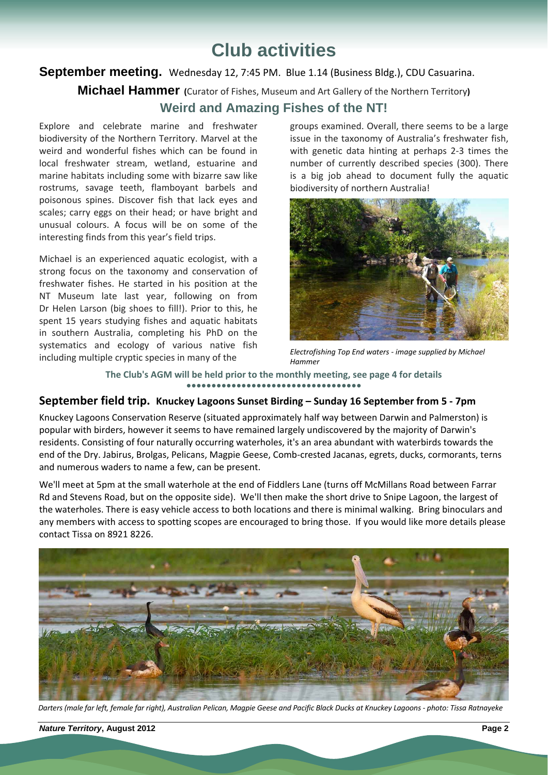# **Club activities**

### September meeting. Wednesday 12, 7:45 PM. Blue 1.14 (Business Bldg.), CDU Casuarina.

**Michael Hammer (**Curator of Fishes, Museum and Art Gallery of the Northern Territory**)**

### **Weird and Amazing Fishes of the NT!**

Explore and celebrate marine and freshwater biodiversity of the Northern Territory. Marvel at the weird and wonderful fishes which can be found in local freshwater stream, wetland, estuarine and marine habitats including some with bizarre saw like rostrums, savage teeth, flamboyant barbels and poisonous spines. Discover fish that lack eyes and scales; carry eggs on their head; or have bright and unusual colours. A focus will be on some of the interesting finds from this year's field trips.

Michael is an experienced aquatic ecologist, with a strong focus on the taxonomy and conservation of freshwater fishes. He started in his position at the NT Museum late last year, following on from Dr Helen Larson (big shoes to fill!). Prior to this, he spent 15 years studying fishes and aquatic habitats in southern Australia, completing his PhD on the systematics and ecology of various native fish including multiple cryptic species in many of the

groups examined. Overall, there seems to be a large issue in the taxonomy of Australia's freshwater fish, with genetic data hinting at perhaps 2‐3 times the number of currently described species (300). There is a big job ahead to document fully the aquatic biodiversity of northern Australia!



*Electrofishing Top End waters ‐ image supplied by Michael Hammer*

**The Club's AGM will be held prior to the monthly meeting, see page 4 for details ●●●●●●●●●●●●●●●●●●●●●●●●●●●●●●●●●●●**

### **September field trip. Knuckey Lagoons Sunset Birding – Sunday 16 September from 5 ‐ 7pm**

Knuckey Lagoons Conservation Reserve (situated approximately half way between Darwin and Palmerston) is popular with birders, however it seems to have remained largely undiscovered by the majority of Darwin's residents. Consisting of four naturally occurring waterholes, it's an area abundant with waterbirds towards the end of the Dry. Jabirus, Brolgas, Pelicans, Magpie Geese, Comb-crested Jacanas, egrets, ducks, cormorants, terns and numerous waders to name a few, can be present.

We'll meet at 5pm at the small waterhole at the end of Fiddlers Lane (turns off McMillans Road between Farrar Rd and Stevens Road, but on the opposite side). We'll then make the short drive to Snipe Lagoon, the largest of the waterholes. There is easy vehicle access to both locations and there is minimal walking. Bring binoculars and any members with access to spotting scopes are encouraged to bring those. If you would like more details please contact Tissa on 8921 8226.



Darters (male far left, female far right), Australian Pelican, Magpie Geese and Pacific Black Ducks at Knuckey Lagoons - photo: Tissa Ratnayeke

*Nature Territory***, August 2012****Page 2**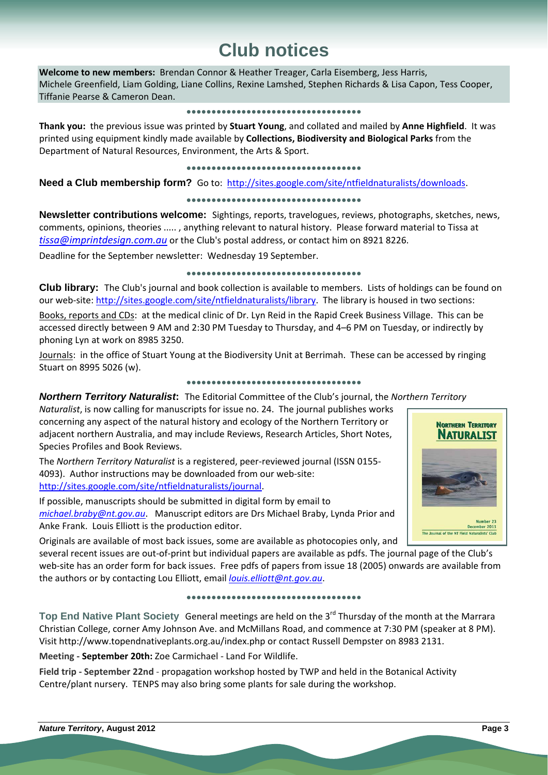# **Club notices**

**Welcome to new members:** Brendan Connor & Heather Treager, Carla Eisemberg, Jess Harris, Michele Greenfield, Liam Golding, Liane Collins, Rexine Lamshed, Stephen Richards & Lisa Capon, Tess Cooper, Tiffanie Pearse & Cameron Dean.

### **●●●●●●●●●●●●●●●●●●●●●●●●●●●●●●●●●●●**

**Thank you:** the previous issue was printed by **Stuart Young**, and collated and mailed by **Anne Highfield**. It was printed using equipment kindly made available by **Collections, Biodiversity and Biological Parks** from the Department of Natural Resources, Environment, the Arts & Sport.

### **●●●●●●●●●●●●●●●●●●●●●●●●●●●●●●●●●●●**

**Need a Club membership form?** Go to: http://sites.google.com/site/ntfieldnaturalists/downloads.

### **●●●●●●●●●●●●●●●●●●●●●●●●●●●●●●●●●●●**

**Newsletter contributions welcome:** Sightings, reports, travelogues, reviews, photographs, sketches, news, comments, opinions, theories ..... , anything relevant to natural history. Please forward material to Tissa at *tissa@imprintdesign.com.au* or the Club's postal address, or contact him on 8921 8226.

Deadline for the September newsletter: Wednesday 19 September.

### **●●●●●●●●●●●●●●●●●●●●●●●●●●●●●●●●●●●**

**Club library:** The Club's journal and book collection is available to members. Lists of holdings can be found on our web-site: http://sites.google.com/site/ntfieldnaturalists/library. The library is housed in two sections:

Books, reports and CDs: at the medical clinic of Dr. Lyn Reid in the Rapid Creek Business Village. This can be accessed directly between 9 AM and 2:30 PM Tuesday to Thursday, and 4–6 PM on Tuesday, or indirectly by phoning Lyn at work on 8985 3250.

Journals: in the office of Stuart Young at the Biodiversity Unit at Berrimah. These can be accessed by ringing Stuart on 8995 5026 (w).

### **●●●●●●●●●●●●●●●●●●●●●●●●●●●●●●●●●●●**

### *Northern Territory Naturalist***:** The Editorial Committee of the Club's journal, the *Northern Territory*

*Naturalist*, is now calling for manuscripts for issue no. 24. The journal publishes works concerning any aspect of the natural history and ecology of the Northern Territory or adjacent northern Australia, and may include Reviews, Research Articles, Short Notes, Species Profiles and Book Reviews.

The *Northern Territory Naturalist* is a registered, peer‐reviewed journal (ISSN 0155‐ 4093). Author instructions may be downloaded from our web‐site: http://sites.google.com/site/ntfieldnaturalists/journal.

If possible, manuscripts should be submitted in digital form by email to *michael.braby@nt.gov.au*. Manuscript editors are Drs Michael Braby, Lynda Prior and Anke Frank. Louis Elliott is the production editor.

Originals are available of most back issues, some are available as photocopies only, and

several recent issues are out-of-print but individual papers are available as pdfs. The journal page of the Club's web-site has an order form for back issues. Free pdfs of papers from issue 18 (2005) onwards are available from the authors or by contacting Lou Elliott, email *louis.elliott@nt.gov.au*.

### **●●●●●●●●●●●●●●●●●●●●●●●●●●●●●●●●●●●**

**Top End Native Plant Society** General meetings are held on the 3rd Thursday of the month at the Marrara Christian College, corner Amy Johnson Ave. and McMillans Road, and commence at 7:30 PM (speaker at 8 PM). Visit http://www.topendnativeplants.org.au/index.php or contact Russell Dempster on 8983 2131.

**Meeting ‐ September 20th:** Zoe Carmichael ‐ Land For Wildlife.

**Field trip ‐ September 22nd** ‐ propagation workshop hosted by TWP and held in the Botanical Activity Centre/plant nursery. TENPS may also bring some plants for sale during the workshop.

# **NORTHERN TERRITORY NATURALIST** The Journal of the NT Field Naturalists' Club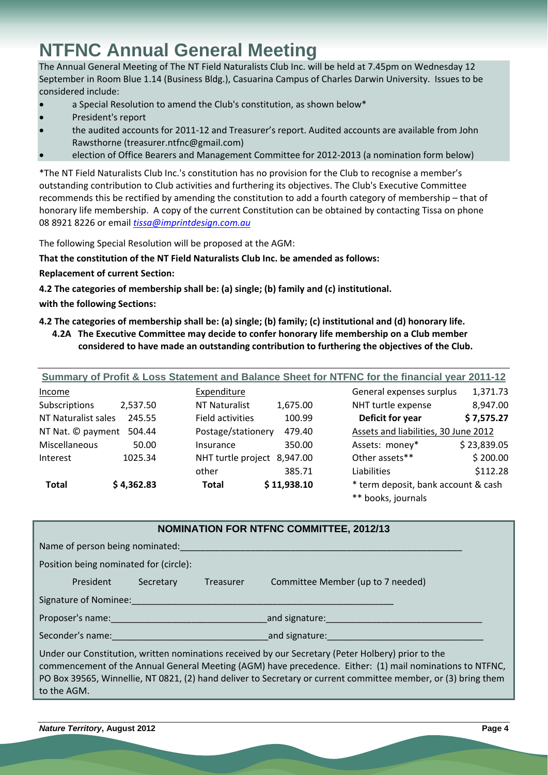# **NTFNC Annual General Meeting**

The Annual General Meeting of The NT Field Naturalists Club Inc. will be held at 7.45pm on Wednesday 12 September in Room Blue 1.14 (Business Bldg.), Casuarina Campus of Charles Darwin University. Issues to be considered include:

- a Special Resolution to amend the Club's constitution, as shown below\*
- President's report
- the audited accounts for 2011‐12 and Treasurer's report. Audited accounts are available from John Rawsthorne (treasurer.ntfnc@gmail.com)
- election of Office Bearers and Management Committee for 2012‐2013 (a nomination form below)

\*The NT Field Naturalists Club Inc.'s constitution has no provision for the Club to recognise a member's outstanding contribution to Club activities and furthering its objectives. The Club's Executive Committee recommends this be rectified by amending the constitution to add a fourth category of membership – that of honorary life membership. A copy of the current Constitution can be obtained by contacting Tissa on phone 08 8921 8226 or email *tissa@imprintdesign.com.au*

The following Special Resolution will be proposed at the AGM:

**That the constitution of the NT Field Naturalists Club Inc. be amended as follows:**

- **Replacement of current Section:**
- **4.2 The categories of membership shall be: (a) single; (b) family and (c) institutional.**

**with the following Sections:**

### 4.2 The categories of membership shall be: (a) single; (b) family; (c) institutional and (d) honorary life.

**4.2A The Executive Committee may decide to confer honorary life membership on a Club member considered to have made an outstanding contribution to furthering the objectives of the Club.**

| Summary of Profit & Loss Statement and Balance Sheet for NTFNC for the financial year 2011-12 |            |                             |             |                                      |             |
|-----------------------------------------------------------------------------------------------|------------|-----------------------------|-------------|--------------------------------------|-------------|
| Income                                                                                        |            | Expenditure                 |             | General expenses surplus             | 1,371.73    |
| Subscriptions                                                                                 | 2,537.50   | <b>NT Naturalist</b>        | 1,675.00    | NHT turtle expense                   | 8,947.00    |
| NT Naturalist sales                                                                           | 245.55     | Field activities            | 100.99      | Deficit for year                     | \$7,575.27  |
| NT Nat. © payment                                                                             | 504.44     | Postage/stationery          | 479.40      | Assets and liabilities, 30 June 2012 |             |
| Miscellaneous                                                                                 | 50.00      | Insurance                   | 350.00      | Assets: money*                       | \$23,839.05 |
| Interest                                                                                      | 1025.34    | NHT turtle project 8,947.00 |             | Other assets**                       | \$200.00    |
|                                                                                               |            | other                       | 385.71      | Liabilities                          | \$112.28    |
| <b>Total</b>                                                                                  | \$4,362.83 | <b>Total</b>                | \$11,938.10 | * term deposit, bank account & cash  |             |

|  | ** books, journals |  |  |
|--|--------------------|--|--|
|--|--------------------|--|--|

| <b>NOMINATION FOR NTFNC COMMITTEE, 2012/13</b>                                                                                                                                                                 |           |                  |                                                                                                                                                                                                                                                                                                                                  |  |
|----------------------------------------------------------------------------------------------------------------------------------------------------------------------------------------------------------------|-----------|------------------|----------------------------------------------------------------------------------------------------------------------------------------------------------------------------------------------------------------------------------------------------------------------------------------------------------------------------------|--|
| Name of person being nominated:                                                                                                                                                                                |           |                  |                                                                                                                                                                                                                                                                                                                                  |  |
| Position being nominated for (circle):                                                                                                                                                                         |           |                  |                                                                                                                                                                                                                                                                                                                                  |  |
| President                                                                                                                                                                                                      | Secretary | <b>Treasurer</b> | Committee Member (up to 7 needed)                                                                                                                                                                                                                                                                                                |  |
| Signature of Nominee:                                                                                                                                                                                          |           |                  |                                                                                                                                                                                                                                                                                                                                  |  |
|                                                                                                                                                                                                                |           |                  | and signature: and signature:                                                                                                                                                                                                                                                                                                    |  |
| <b>Seconder's name: Seconder's name: Seconder's name: Seconder's name: Seconder's name: Seconder's name: Seconder's name: Seconder's name: Seconder's name: Seconder's name: Seconder's name: Seconder's n</b> |           |                  | and signature:                                                                                                                                                                                                                                                                                                                   |  |
| to the AGM.                                                                                                                                                                                                    |           |                  | Under our Constitution, written nominations received by our Secretary (Peter Holbery) prior to the<br>commencement of the Annual General Meeting (AGM) have precedence. Either: (1) mail nominations to NTFNC,<br>PO Box 39565, Winnellie, NT 0821, (2) hand deliver to Secretary or current committee member, or (3) bring them |  |

*Nature Territory***, August 2012****Page 4**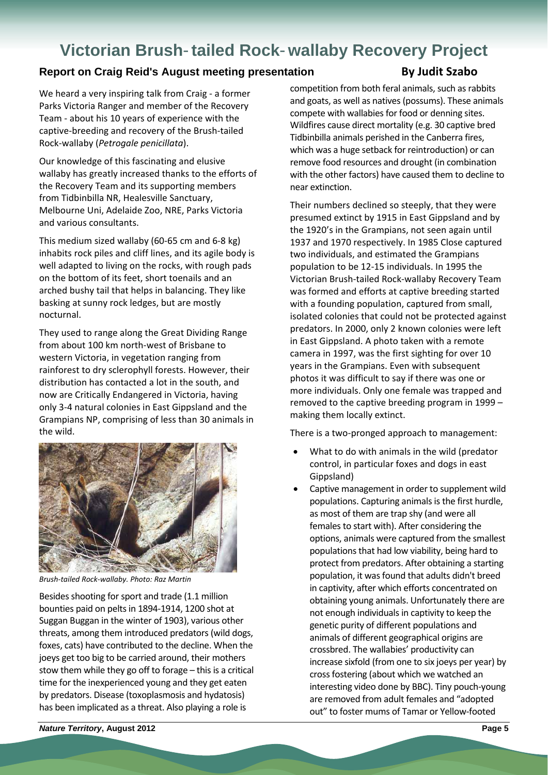# **Victorian Brush**-**tailed Rock**-**wallaby Recovery Project**

### **Report on Craig Reid's August meeting presentation By Judit Szabo**

We heard a very inspiring talk from Craig - a former Parks Victoria Ranger and member of the Recovery Team ‐ about his 10 years of experience with the captive‐breeding and recovery of the Brush‐tailed Rock‐wallaby (*Petrogale penicillata*).

Our knowledge of this fascinating and elusive wallaby has greatly increased thanks to the efforts of the Recovery Team and its supporting members from Tidbinbilla NR, Healesville Sanctuary, Melbourne Uni, Adelaide Zoo, NRE, Parks Victoria and various consultants.

This medium sized wallaby (60‐65 cm and 6‐8 kg) inhabits rock piles and cliff lines, and its agile body is well adapted to living on the rocks, with rough pads on the bottom of its feet, short toenails and an arched bushy tail that helps in balancing. They like basking at sunny rock ledges, but are mostly nocturnal.

They used to range along the Great Dividing Range from about 100 km north‐west of Brisbane to western Victoria, in vegetation ranging from rainforest to dry sclerophyll forests. However, their distribution has contacted a lot in the south, and now are Critically Endangered in Victoria, having only 3‐4 natural colonies in East Gippsland and the Grampians NP, comprising of less than 30 animals in the wild.



*Brush‐tailed Rock‐wallaby. Photo: Raz Martin*

Besides shooting for sport and trade (1.1 million bounties paid on pelts in 1894-1914, 1200 shot at Suggan Buggan in the winter of 1903), various other threats, among them introduced predators(wild dogs, foxes, cats) have contributed to the decline. When the joeys get too big to be carried around, their mothers stow them while they go off to forage  $-$  this is a critical time for the inexperienced young and they get eaten by predators. Disease (toxoplasmosis and hydatosis) has been implicated as a threat. Also playing a role is

competition from both feral animals, such as rabbits and goats, as well as natives(possums). These animals compete with wallabies for food or denning sites. Wildfires cause direct mortality (e.g. 30 captive bred Tidbinbilla animals perished in the Canberra fires, which was a huge setback for reintroduction) or can remove food resources and drought (in combination with the other factors) have caused them to decline to near extinction.

Their numbers declined so steeply, that they were presumed extinct by 1915 in East Gippsland and by the 1920's in the Grampians, not seen again until 1937 and 1970 respectively. In 1985 Close captured two individuals, and estimated the Grampians population to be 12‐15 individuals. In 1995 the Victorian Brush‐tailed Rock‐wallaby Recovery Team was formed and efforts at captive breeding started with a founding population, captured from small, isolated colonies that could not be protected against predators. In 2000, only 2 known colonies were left in East Gippsland. A photo taken with a remote camera in 1997, was the first sighting for over 10 years in the Grampians. Even with subsequent photos it was difficult to say if there was one or more individuals. Only one female was trapped and removed to the captive breeding program in 1999 – making them locally extinct.

There is a two‐pronged approach to management:

- What to do with animals in the wild (predator control, in particular foxes and dogs in east Gippsland)
- Captive management in order to supplement wild populations. Capturing animals is the first hurdle. as most of them are trap shy (and were all females to start with). After considering the options, animals were captured from the smallest populations that had low viability, being hard to protect from predators. After obtaining a starting population, it wasfound that adults didn't breed in captivity, after which efforts concentrated on obtaining young animals. Unfortunately there are not enough individuals in captivity to keep the genetic purity of different populations and animals of different geographical origins are crossbred. The wallabies' productivity can increase sixfold (from one to six joeys per year) by crossfostering (about which we watched an interesting video done by BBC). Tiny pouch‐young are removed from adult females and "adopted out" to foster mums of Tamar or Yellow‐footed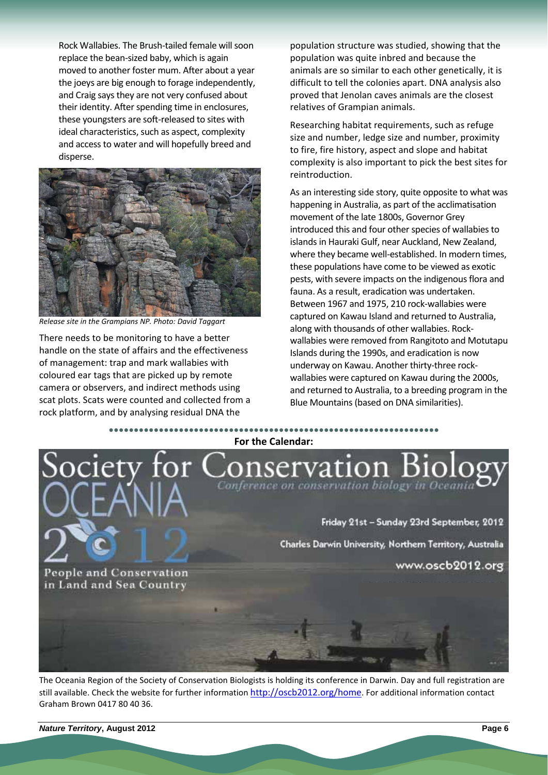Rock Wallabies. The Brush-tailed female will soon replace the bean‐sized baby, which is again moved to another foster mum. After about a year the joeys are big enough to forage independently, and Craig says they are not very confused about their identity. After spending time in enclosures, these youngsters are soft‐released to sites with ideal characteristics, such as aspect, complexity and access to water and will hopefully breed and disperse.



*Release site in the Grampians NP. Photo: David Taggart*

There needs to be monitoring to have a better handle on the state of affairs and the effectiveness of management: trap and mark wallabies with coloured ear tags that are picked up by remote camera or observers, and indirect methods using scat plots. Scats were counted and collected from a rock platform, and by analysing residual DNA the

population structure was studied, showing that the population was quite inbred and because the animals are so similar to each other genetically, it is difficult to tell the colonies apart. DNA analysis also proved that Jenolan caves animals are the closest relatives of Grampian animals.

Researching habitat requirements, such as refuge size and number, ledge size and number, proximity to fire, fire history, aspect and slope and habitat complexity is also important to pick the best sites for reintroduction.

As an interesting side story, quite opposite to what was happening in Australia, as part of the acclimatisation movement of the late 1800s, Governor Grey introduced this and four other species of wallabies to islands in Hauraki Gulf, near Auckland, New Zealand, where they became well-established. In modern times, these populations have come to be viewed as exotic pests, with severe impacts on the indigenous flora and fauna. As a result, eradication was undertaken. Between 1967 and 1975, 210 rock‐wallabies were captured on Kawau Island and returned to Australia, along with thousands of other wallabies. Rock‐ wallabies were removed from Rangitoto and Motutapu Islands during the 1990s, and eradication is now underway on Kawau. Another thirty‐three rock‐ wallabies were captured on Kawau during the 2000s, and returned to Australia, to a breeding program in the Blue Mountains (based on DNA similarities).



The Oceania Region of the Society of Conservation Biologists is holding its conference in Darwin. Day and full registration are still available. Check the website for further information http://oscb2012.org/home. For additional information contact Graham Brown 0417 80 40 36.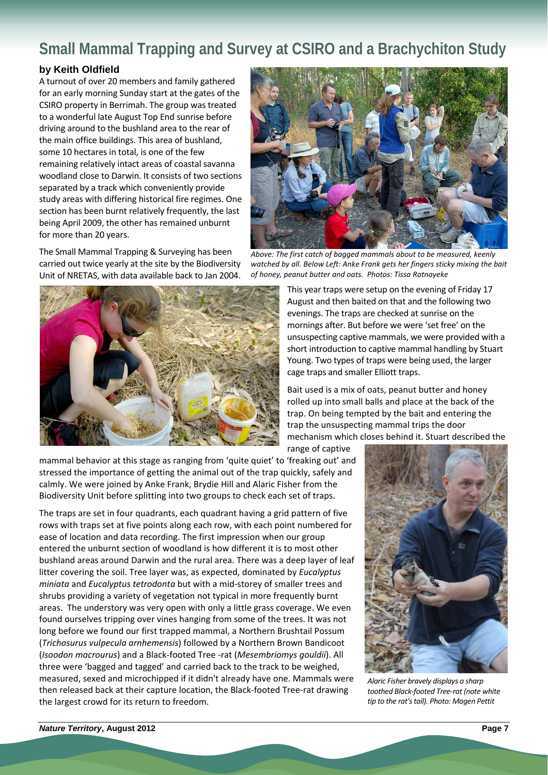# **Small Mammal Trapping and Survey at CSIRO and a Brachychiton Study**

### **by Keith Oldfield**

A turnout of over 20 members and family gathered for an early morning Sunday start at the gates of the CSIRO property in Berrimah. The group was treated to a wonderful late August Top End sunrise before driving around to the bushland area to the rear of the main office buildings. This area of bushland, some 10 hectares in total, is one of the few remaining relatively intact areas of coastal savanna woodland close to Darwin. It consists of two sections separated by a track which conveniently provide study areas with differing historical fire regimes. One section has been burnt relatively frequently, the last being April 2009, the other has remained unburnt for more than 20 years.

The Small Mammal Trapping & Surveying has been carried out twice yearly at the site by the Biodiversity Unit of NRETAS, with data available back to Jan 2004.



mammal behavior at this stage as ranging from 'quite quiet' to 'freaking out' and stressed the importance of getting the animal out of the trap quickly, safely and calmly. We were joined by Anke Frank, Brydie Hill and Alaric Fisher from the Biodiversity Unit before splitting into two groups to check each set of traps.

The traps are set in four quadrants, each quadrant having a grid pattern of five rows with traps set at five points along each row, with each point numbered for ease of location and data recording. The first impression when our group entered the unburnt section of woodland is how different it is to most other bushland areas around Darwin and the rural area. There was a deep layer of leaf litter covering the soil. Tree layer was, as expected, dominated by *Eucalyptus miniata* and *Eucalyptus tetrodonta* but with a mid‐storey of smaller trees and shrubs providing a variety of vegetation not typical in more frequently burnt areas. The understory was very open with only a little grass coverage. We even found ourselves tripping over vines hanging from some of the trees. It was not long before we found our first trapped mammal, a Northern Brushtail Possum (*Trichosurus vulpecula arnhemensis*) followed by a Northern Brown Bandicoot (*Isoodon macrourus*) and a Black‐footed Tree ‐rat (*Mesembriomys gouldii*). All three were 'bagged and tagged' and carried back to the track to be weighed, measured, sexed and microchipped if it didn't already have one. Mammals were then released back at their capture location, the Black‐footed Tree‐rat drawing the largest crowd for its return to freedom.



*Above: The first catch of bagged mammals about to be measured, keenly watched by all. Below Left: Anke Frank gets her fingers sticky mixing the bait of honey, peanut butter and oats. Photos: Tissa Ratnayeke*

This year traps were setup on the evening of Friday 17 August and then baited on that and the following two evenings. The traps are checked at sunrise on the mornings after. But before we were 'set free' on the unsuspecting captive mammals, we were provided with a short introduction to captive mammal handling by Stuart Young. Two types of traps were being used, the larger cage traps and smaller Elliott traps.

Bait used is a mix of oats, peanut butter and honey rolled up into small balls and place at the back of the trap. On being tempted by the bait and entering the trap the unsuspecting mammal trips the door mechanism which closes behind it. Stuart described the range of captive



*Alaric Fisher bravely displays a sharp toothed Black‐footed Tree‐rat (note white tip to the rat'stail). Photo: Magen Pettit*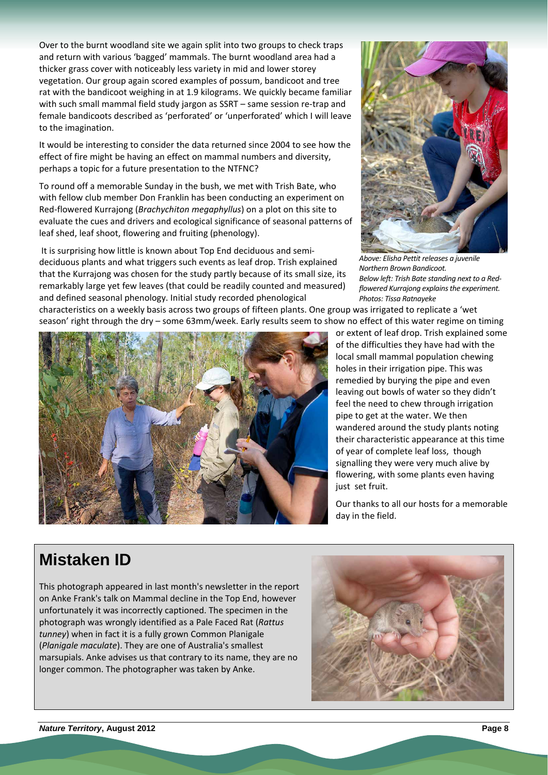Over to the burnt woodland site we again split into two groups to check traps and return with various 'bagged' mammals. The burnt woodland area had a thicker grass cover with noticeably less variety in mid and lower storey vegetation. Our group again scored examples of possum, bandicoot and tree rat with the bandicoot weighing in at 1.9 kilograms. We quickly became familiar with such small mammal field study jargon as SSRT – same session re-trap and female bandicoots described as 'perforated' or 'unperforated' which I will leave to the imagination.

It would be interesting to consider the data returned since 2004 to see how the effect of fire might be having an effect on mammal numbers and diversity, perhaps a topic for a future presentation to the NTFNC?

To round off a memorable Sunday in the bush, we met with Trish Bate, who with fellow club member Don Franklin has been conducting an experiment on Red‐flowered Kurrajong (*Brachychiton megaphyllus*) on a plot on this site to evaluate the cues and drivers and ecological significance of seasonal patterns of leaf shed, leaf shoot, flowering and fruiting (phenology).

It is surprising how little is known about Top End deciduous and semi‐ deciduous plants and what triggers such events as leaf drop. Trish explained that the Kurrajong was chosen for the study partly because of its small size, its remarkably large yet few leaves (that could be readily counted and measured) and defined seasonal phenology. Initial study recorded phenological



*Above: Elisha Pettit releases a juvenile Northern Brown Bandicoot. Below left: Trish Bate standing next to a Red‐ flowered Kurrajong explainsthe experiment. Photos: Tissa Ratnayeke*

characteristics on a weekly basis across two groups of fifteen plants. One group was irrigated to replicate a 'wet season' right through the dry – some 63mm/week. Early results seem to show no effect of this water regime on timing



or extent of leaf drop. Trish explained some of the difficulties they have had with the local small mammal population chewing holes in their irrigation pipe. This was remedied by burying the pipe and even leaving out bowls of water so they didn't feel the need to chew through irrigation pipe to get at the water. We then wandered around the study plants noting their characteristic appearance at this time of year of complete leaf loss, though signalling they were very much alive by flowering, with some plants even having just set fruit.

Our thanks to all our hosts for a memorable day in the field.

## **Mistaken ID**

This photograph appeared in last month's newsletter in the report on Anke Frank's talk on Mammal decline in the Top End, however unfortunately it was incorrectly captioned. The specimen in the photograph was wrongly identified as a Pale Faced Rat (*Rattus tunney*) when in fact it is a fully grown Common Planigale (*Planigale maculate*). They are one of Australia's smallest marsupials. Anke advises us that contrary to its name, they are no longer common. The photographer was taken by Anke.

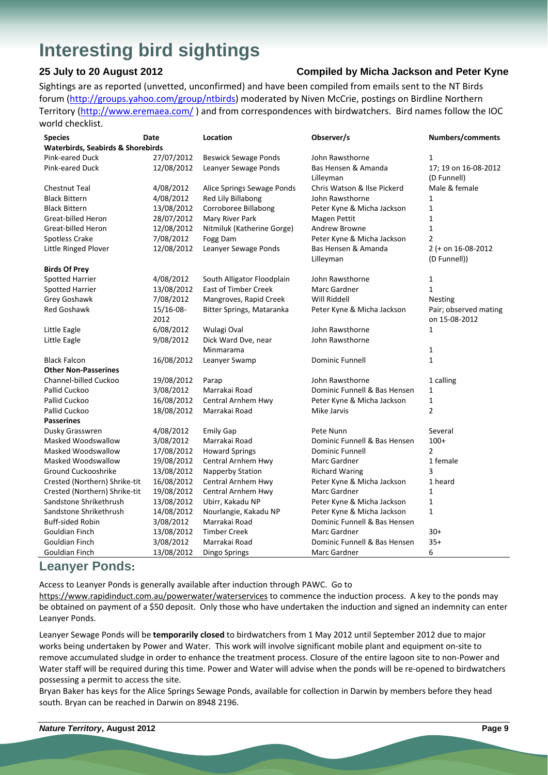# **Interesting bird sightings**

### **25 July to 20 August 2012 Compiled by Micha Jackson and Peter Kyne**

Sightings are as reported (unvetted, unconfirmed) and have been compiled from emails sent to the NT Birds forum (http://groups.yahoo.com/group/ntbirds) moderated by Niven McCrie, postings on Birdline Northern Territory (http://www.eremaea.com/) and from correspondences with birdwatchers. Bird names follow the IOC world checklist.

| <b>Species</b>                               | Date       | Location                    | Observer/s                   | Numbers/comments      |  |
|----------------------------------------------|------------|-----------------------------|------------------------------|-----------------------|--|
| <b>Waterbirds, Seabirds &amp; Shorebirds</b> |            |                             |                              |                       |  |
| Pink-eared Duck                              | 27/07/2012 | <b>Beswick Sewage Ponds</b> | John Rawsthorne              | 1                     |  |
| <b>Pink-eared Duck</b>                       | 12/08/2012 | Leanyer Sewage Ponds        | Bas Hensen & Amanda          | 17; 19 on 16-08-2012  |  |
|                                              |            |                             | Lilleyman                    | (D Funnell)           |  |
| <b>Chestnut Teal</b>                         | 4/08/2012  | Alice Springs Sewage Ponds  | Chris Watson & Ilse Pickerd  | Male & female         |  |
| <b>Black Bittern</b>                         | 4/08/2012  | Red Lily Billabong          | John Rawsthorne              | 1                     |  |
| <b>Black Bittern</b>                         | 13/08/2012 | Corroboree Billabong        | Peter Kyne & Micha Jackson   | $\mathbf{1}$          |  |
| Great-billed Heron                           | 28/07/2012 | Mary River Park             | Magen Pettit                 | $\mathbf{1}$          |  |
| Great-billed Heron                           | 12/08/2012 | Nitmiluk (Katherine Gorge)  | Andrew Browne                | $\mathbf{1}$          |  |
| Spotless Crake                               | 7/08/2012  | Fogg Dam                    | Peter Kyne & Micha Jackson   | $\overline{2}$        |  |
| Little Ringed Plover                         | 12/08/2012 | Leanyer Sewage Ponds        | Bas Hensen & Amanda          | 2 (+ on 16-08-2012    |  |
|                                              |            |                             | Lilleyman                    | (D Funnell))          |  |
| <b>Birds Of Prey</b>                         |            |                             |                              |                       |  |
| <b>Spotted Harrier</b>                       | 4/08/2012  | South Alligator Floodplain  | John Rawsthorne              | 1                     |  |
| <b>Spotted Harrier</b>                       | 13/08/2012 | <b>East of Timber Creek</b> | Marc Gardner                 | $\mathbf{1}$          |  |
| Grey Goshawk                                 | 7/08/2012  | Mangroves, Rapid Creek      | Will Riddell                 | <b>Nesting</b>        |  |
| Red Goshawk                                  | 15/16-08-  | Bitter Springs, Mataranka   | Peter Kyne & Micha Jackson   | Pair; observed mating |  |
|                                              | 2012       |                             |                              | on 15-08-2012         |  |
| Little Eagle                                 | 6/08/2012  | Wulagi Oval                 | John Rawsthorne              | $\mathbf{1}$          |  |
| Little Eagle                                 | 9/08/2012  | Dick Ward Dve, near         | John Rawsthorne              |                       |  |
|                                              |            | Minmarama                   |                              | 1                     |  |
| <b>Black Falcon</b>                          | 16/08/2012 | Leanyer Swamp               | <b>Dominic Funnell</b>       | $\mathbf{1}$          |  |
| <b>Other Non-Passerines</b>                  |            |                             |                              |                       |  |
| Channel-billed Cuckoo                        | 19/08/2012 | Parap                       | John Rawsthorne              | 1 calling             |  |
| Pallid Cuckoo                                | 3/08/2012  | Marrakai Road               | Dominic Funnell & Bas Hensen | $\mathbf{1}$          |  |
| Pallid Cuckoo                                | 16/08/2012 | Central Arnhem Hwy          | Peter Kyne & Micha Jackson   | $\mathbf{1}$          |  |
| Pallid Cuckoo                                | 18/08/2012 | Marrakai Road               | Mike Jarvis                  | $\overline{2}$        |  |
| <b>Passerines</b>                            |            |                             |                              |                       |  |
| Dusky Grasswren                              | 4/08/2012  | <b>Emily Gap</b>            | Pete Nunn                    | Several               |  |
| Masked Woodswallow                           | 3/08/2012  | Marrakai Road               | Dominic Funnell & Bas Hensen | $100+$                |  |
| Masked Woodswallow                           | 17/08/2012 | <b>Howard Springs</b>       | <b>Dominic Funnell</b>       | $\overline{2}$        |  |
| Masked Woodswallow                           | 19/08/2012 | Central Arnhem Hwy          | Marc Gardner                 | 1 female              |  |
| Ground Cuckooshrike                          | 13/08/2012 | <b>Napperby Station</b>     | <b>Richard Waring</b>        | 3                     |  |
| Crested (Northern) Shrike-tit                | 16/08/2012 | Central Arnhem Hwy          | Peter Kyne & Micha Jackson   | 1 heard               |  |
| Crested (Northern) Shrike-tit                | 19/08/2012 | Central Arnhem Hwy          | Marc Gardner                 | 1                     |  |
| Sandstone Shrikethrush                       | 13/08/2012 | Ubirr, Kakadu NP            | Peter Kyne & Micha Jackson   | $\mathbf{1}$          |  |
| Sandstone Shrikethrush                       | 14/08/2012 | Nourlangie, Kakadu NP       | Peter Kyne & Micha Jackson   | $\mathbf{1}$          |  |
| <b>Buff-sided Robin</b>                      | 3/08/2012  | Marrakai Road               | Dominic Funnell & Bas Hensen |                       |  |
| Gouldian Finch                               | 13/08/2012 | <b>Timber Creek</b>         | Marc Gardner                 | $30+$                 |  |
| Gouldian Finch                               | 3/08/2012  | Marrakai Road               | Dominic Funnell & Bas Hensen | $35+$                 |  |
| Gouldian Finch                               | 13/08/2012 | Dingo Springs               | Marc Gardner                 | 6                     |  |

### **Leanyer Ponds:**

Access to Leanyer Ponds is generally available after induction through PAWC. Go to

https://www.rapidinduct.com.au/powerwater/waterservices to commence the induction process. A key to the ponds may be obtained on payment of a \$50 deposit. Only those who have undertaken the induction and signed an indemnity can enter Leanyer Ponds.

Leanyer Sewage Ponds will be **temporarily closed** to birdwatchers from 1 May 2012 until September 2012 due to major works being undertaken by Power and Water. This work will involve significant mobile plant and equipment on‐site to remove accumulated sludge in order to enhance the treatment process. Closure of the entire lagoon site to non‐Power and Water staff will be required during this time. Power and Water will advise when the ponds will be re-opened to birdwatchers possessing a permit to access the site.

Bryan Baker has keys for the Alice Springs Sewage Ponds, available for collection in Darwin by members before they head south. Bryan can be reached in Darwin on 8948 2196.